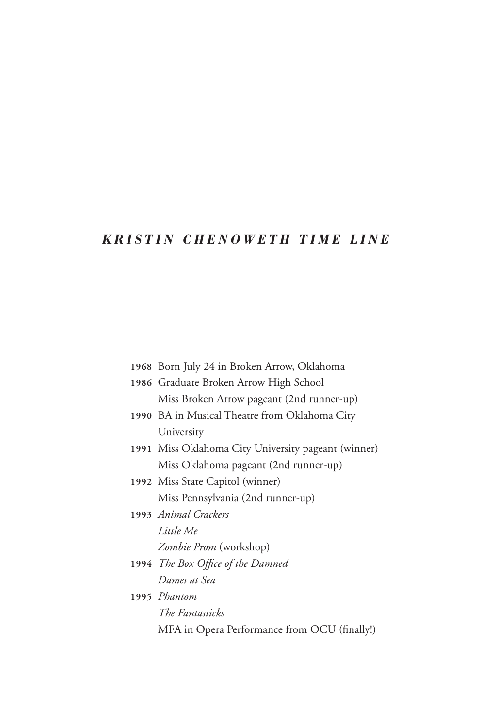## *Kristi n Che n oweth T ime li n e*

| 1968 Born July 24 in Broken Arrow, Oklahoma         |
|-----------------------------------------------------|
| 1986 Graduate Broken Arrow High School              |
| Miss Broken Arrow pageant (2nd runner-up)           |
| 1990 BA in Musical Theatre from Oklahoma City       |
| University                                          |
| 1991 Miss Oklahoma City University pageant (winner) |
| Miss Oklahoma pageant (2nd runner-up)               |
| 1992 Miss State Capitol (winner)                    |
| Miss Pennsylvania (2nd runner-up)                   |
| 1993 Animal Crackers                                |
| Little Me                                           |
| <i>Zombie Prom</i> (workshop)                       |
| 1994 The Box Office of the Damned                   |
| Dames at Sea                                        |
| 1995 Phantom                                        |
| The Fantasticks                                     |
| MFA in Opera Performance from OCU (finally!)        |
|                                                     |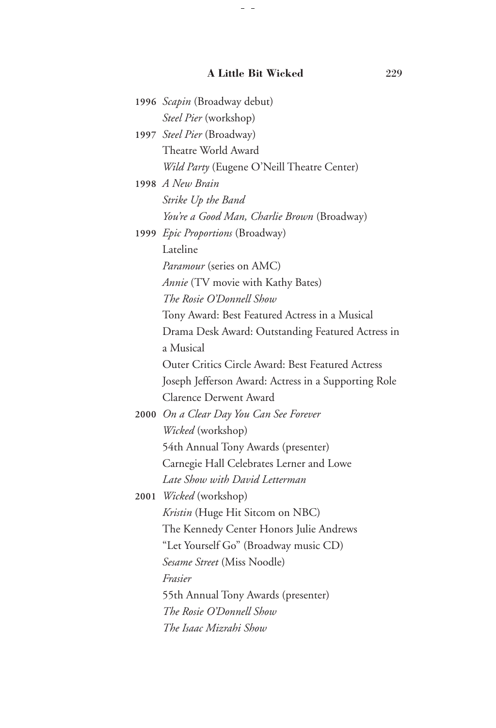## **A Little Bit Wicked** 229

 $\overline{\phantom{m}}$ 

| 1996 Scapin (Broadway debut)                         |
|------------------------------------------------------|
| Steel Pier (workshop)                                |
| 1997 Steel Pier (Broadway)                           |
| Theatre World Award                                  |
| Wild Party (Eugene O'Neill Theatre Center)           |
| 1998 A New Brain                                     |
| Strike Up the Band                                   |
| You're a Good Man, Charlie Brown (Broadway)          |
| 1999 Epic Proportions (Broadway)                     |
| Lateline                                             |
| Paramour (series on AMC)                             |
| Annie (TV movie with Kathy Bates)                    |
| The Rosie O'Donnell Show                             |
| Tony Award: Best Featured Actress in a Musical       |
| Drama Desk Award: Outstanding Featured Actress in    |
| a Musical                                            |
| Outer Critics Circle Award: Best Featured Actress    |
| Joseph Jefferson Award: Actress in a Supporting Role |
| Clarence Derwent Award                               |
| 2000 On a Clear Day You Can See Forever              |
| Wicked (workshop)                                    |
| 54th Annual Tony Awards (presenter)                  |
| Carnegie Hall Celebrates Lerner and Lowe             |
| Late Show with David Letterman                       |
| 2001 Wicked (workshop)                               |
| Kristin (Huge Hit Sitcom on NBC)                     |
| The Kennedy Center Honors Julie Andrews              |
| "Let Yourself Go" (Broadway music CD)                |
| Sesame Street (Miss Noodle)                          |
| Frasier                                              |
| 55th Annual Tony Awards (presenter)                  |
| The Rosie O'Donnell Show                             |
| The Isaac Mizrahi Show                               |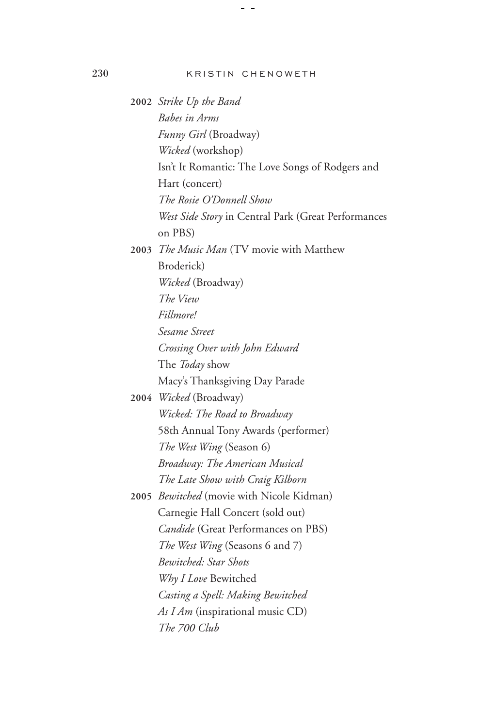230 Kristin Chenoweth

**2002** *Strike Up the Band* *Babes in Arms* *Funny Girl* (Broadway) *Wicked* (workshop) Isn't It Romantic: The Love Songs of Rodgers and Hart (concert) *The Rosie O'Donnell Show* *West Side Story* in Central Park (Great Performances on PBS) **2003** *The Music Man* (TV movie with Matthew Broderick) *Wicked* (Broadway) *The View* *Fillmore!* *Sesame Street* *Crossing Over with John Edward* The *Today* show Macy's Thanksgiving Day Parade **2004** *Wicked* (Broadway) *Wicked: The Road to Broadway* 58th Annual Tony Awards (performer) *The West Wing* (Season 6) *Broadway: The American Musical* *The Late Show with Craig Kilborn* **2005** *Bewitched* (movie with Nicole Kidman) Carnegie Hall Concert (sold out) *Candide* (Great Performances on PBS) *The West Wing* (Seasons 6 and 7) *Bewitched: Star Shots* *Why I Love* Bewitched *Casting a Spell: Making Bewitched* *As I Am* (inspirational music CD) *The 700 Club*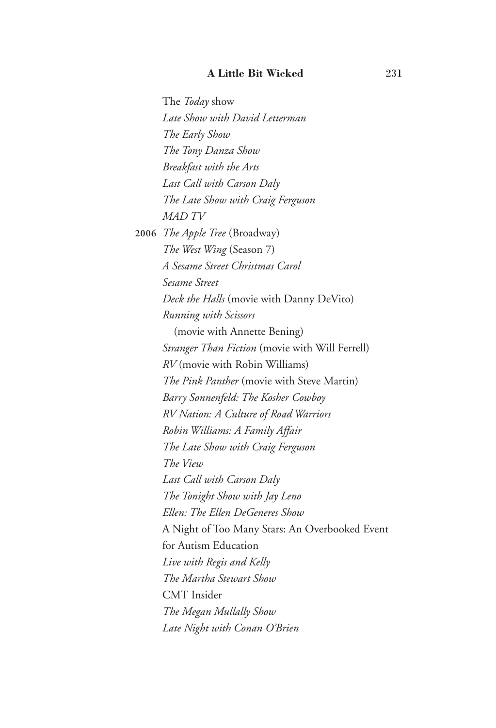The *Today* show *Late Show with David Letterman* *The Early Show* *The Tony Danza Show* *Breakfast with the Arts* *Last Call with Carson Daly* *The Late Show with Craig Ferguson* *MAD TV* **2006** *The Apple Tree* (Broadway) *The West Wing* (Season 7) *A Sesame Street Christmas Carol* *Sesame Street* *Deck the Halls* (movie with Danny DeVito) *Running with Scissors* (movie with Annette Bening) *Stranger Than Fiction* (movie with Will Ferrell) *RV* (movie with Robin Williams) *The Pink Panther* (movie with Steve Martin) *Barry Sonnenfeld: The Kosher Cowboy* *RV Nation: A Culture of Road Warriors* *Robin Williams: A Family Affair* *The Late Show with Craig Ferguson* *The View* *Last Call with Carson Daly* *The Tonight Show with Jay Leno* *Ellen: The Ellen DeGeneres Show* A Night of Too Many Stars: An Overbooked Event for Autism Education *Live with Regis and Kelly* *The Martha Stewart Show* CMT Insider *The Megan Mullally Show* *Late Night with Conan O'Brien*